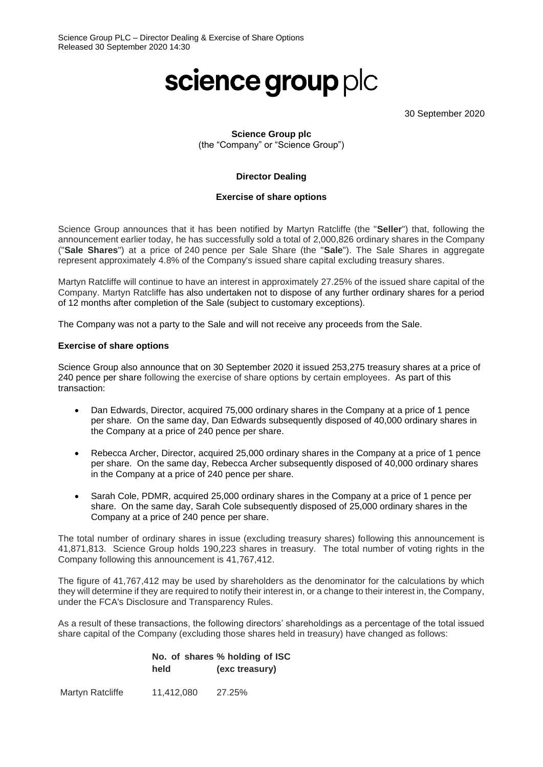# science group plc

30 September 2020

### **Science Group plc** (the "Company" or "Science Group")

#### **Director Dealing**

#### **Exercise of share options**

Science Group announces that it has been notified by Martyn Ratcliffe (the "**Seller**") that, following the announcement earlier today, he has successfully sold a total of 2,000,826 ordinary shares in the Company ("**Sale Shares**") at a price of 240 pence per Sale Share (the "**Sale**"). The Sale Shares in aggregate represent approximately 4.8% of the Company's issued share capital excluding treasury shares.

Martyn Ratcliffe will continue to have an interest in approximately 27.25% of the issued share capital of the Company. Martyn Ratcliffe has also undertaken not to dispose of any further ordinary shares for a period of 12 months after completion of the Sale (subject to customary exceptions).

The Company was not a party to the Sale and will not receive any proceeds from the Sale.

#### **Exercise of share options**

Science Group also announce that on 30 September 2020 it issued 253,275 treasury shares at a price of 240 pence per share following the exercise of share options by certain employees. As part of this transaction:

- Dan Edwards, Director, acquired 75,000 ordinary shares in the Company at a price of 1 pence per share. On the same day, Dan Edwards subsequently disposed of 40,000 ordinary shares in the Company at a price of 240 pence per share.
- Rebecca Archer, Director, acquired 25,000 ordinary shares in the Company at a price of 1 pence per share. On the same day, Rebecca Archer subsequently disposed of 40,000 ordinary shares in the Company at a price of 240 pence per share.
- Sarah Cole, PDMR, acquired 25,000 ordinary shares in the Company at a price of 1 pence per share. On the same day, Sarah Cole subsequently disposed of 25,000 ordinary shares in the Company at a price of 240 pence per share.

The total number of ordinary shares in issue (excluding treasury shares) following this announcement is 41,871,813. Science Group holds 190,223 shares in treasury. The total number of voting rights in the Company following this announcement is 41,767,412.

The figure of 41,767,412 may be used by shareholders as the denominator for the calculations by which they will determine if they are required to notify their interest in, or a change to their interest in, the Company, under the FCA's Disclosure and Transparency Rules.

As a result of these transactions, the following directors' shareholdings as a percentage of the total issued share capital of the Company (excluding those shares held in treasury) have changed as follows:

#### **No. of shares % holding of ISC held (exc treasury)**

Martyn Ratcliffe 11,412,080 27.25%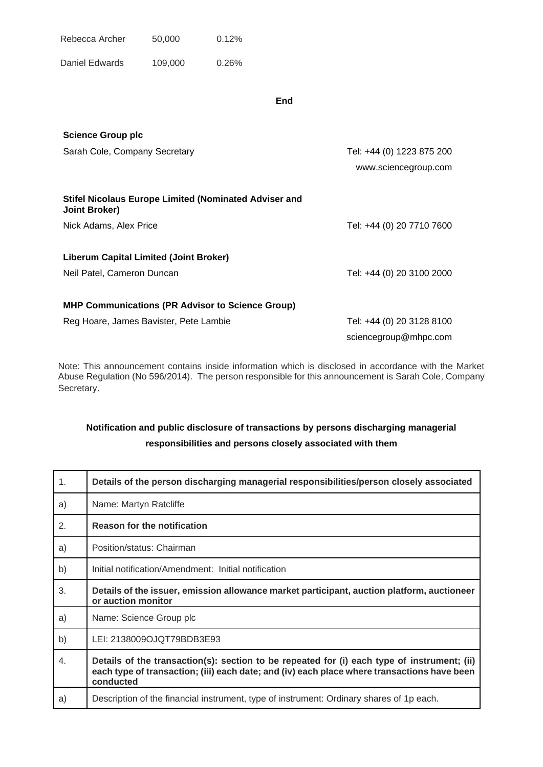| Rebecca Archer | 50,000 | $0.12\%$ |
|----------------|--------|----------|
|                |        |          |

Daniel Edwards 109,000 0.26%

**End**

| <b>Science Group plc</b>                                                             |                           |
|--------------------------------------------------------------------------------------|---------------------------|
| Sarah Cole, Company Secretary                                                        | Tel: +44 (0) 1223 875 200 |
|                                                                                      | www.sciencegroup.com      |
| <b>Stifel Nicolaus Europe Limited (Nominated Adviser and</b><br><b>Joint Broker)</b> |                           |
| Nick Adams, Alex Price                                                               | Tel: +44 (0) 20 7710 7600 |
| <b>Liberum Capital Limited (Joint Broker)</b>                                        |                           |
| Neil Patel, Cameron Duncan                                                           | Tel: +44 (0) 20 3100 2000 |
| <b>MHP Communications (PR Advisor to Science Group)</b>                              |                           |
| Reg Hoare, James Bavister, Pete Lambie                                               | Tel: +44 (0) 20 3128 8100 |
|                                                                                      | sciencegroup@mhpc.com     |

Note: This announcement contains inside information which is disclosed in accordance with the Market Abuse Regulation (No 596/2014). The person responsible for this announcement is Sarah Cole, Company Secretary.

## **Notification and public disclosure of transactions by persons discharging managerial responsibilities and persons closely associated with them**

| 1.             | Details of the person discharging managerial responsibilities/person closely associated                                                                                                                 |
|----------------|---------------------------------------------------------------------------------------------------------------------------------------------------------------------------------------------------------|
| a)             | Name: Martyn Ratcliffe                                                                                                                                                                                  |
| $\mathbf{2}$ . | <b>Reason for the notification</b>                                                                                                                                                                      |
| a)             | Position/status: Chairman                                                                                                                                                                               |
| b)             | Initial notification/Amendment: Initial notification                                                                                                                                                    |
| 3.             | Details of the issuer, emission allowance market participant, auction platform, auctioneer<br>or auction monitor                                                                                        |
| a)             | Name: Science Group plc                                                                                                                                                                                 |
| b)             | LEI: 2138009OJQT79BDB3E93                                                                                                                                                                               |
| 4.             | Details of the transaction(s): section to be repeated for (i) each type of instrument; (ii)<br>each type of transaction; (iii) each date; and (iv) each place where transactions have been<br>conducted |
| a)             | Description of the financial instrument, type of instrument: Ordinary shares of 1p each.                                                                                                                |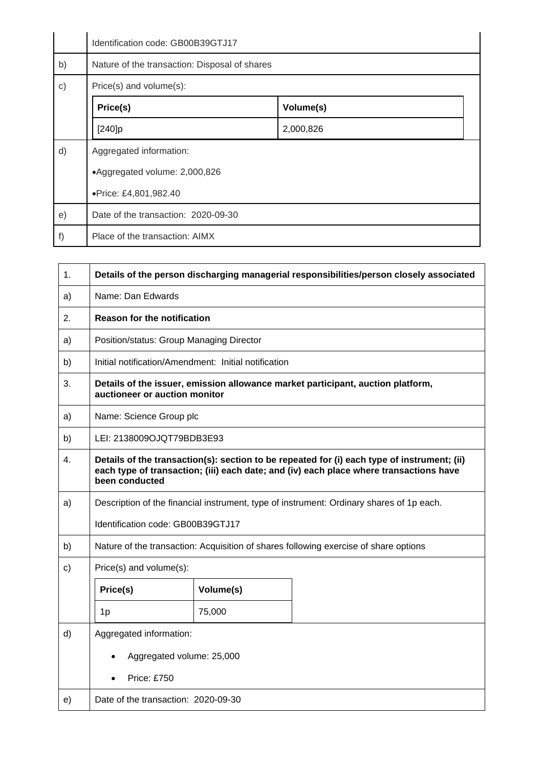|              | Identification code: GB00B39GTJ17             |           |  |
|--------------|-----------------------------------------------|-----------|--|
| b)           | Nature of the transaction: Disposal of shares |           |  |
| $\mathbf{C}$ | Price(s) and volume(s):                       |           |  |
|              | Price(s)<br>Volume(s)                         |           |  |
|              | [240]p                                        | 2,000,826 |  |
| d)           | Aggregated information:                       |           |  |
|              | •Aggregated volume: 2,000,826                 |           |  |
|              | ·Price: £4,801,982.40                         |           |  |
| e)           | Date of the transaction: 2020-09-30           |           |  |
| f)           | Place of the transaction: AIMX                |           |  |

| $\mathbf 1$ . | Details of the person discharging managerial responsibilities/person closely associated                                                                                                                 |           |                                                                                          |
|---------------|---------------------------------------------------------------------------------------------------------------------------------------------------------------------------------------------------------|-----------|------------------------------------------------------------------------------------------|
| a)            | Name: Dan Edwards                                                                                                                                                                                       |           |                                                                                          |
| 2.            | <b>Reason for the notification</b>                                                                                                                                                                      |           |                                                                                          |
| a)            | Position/status: Group Managing Director                                                                                                                                                                |           |                                                                                          |
| b)            | Initial notification/Amendment: Initial notification                                                                                                                                                    |           |                                                                                          |
| 3.            | Details of the issuer, emission allowance market participant, auction platform,<br>auctioneer or auction monitor                                                                                        |           |                                                                                          |
| a)            | Name: Science Group plc                                                                                                                                                                                 |           |                                                                                          |
| b)            | LEI: 2138009OJQT79BDB3E93                                                                                                                                                                               |           |                                                                                          |
| 4.            | Details of the transaction(s): section to be repeated for (i) each type of instrument; (ii)<br>each type of transaction; (iii) each date; and (iv) each place where transactions have<br>been conducted |           |                                                                                          |
| a)            |                                                                                                                                                                                                         |           | Description of the financial instrument, type of instrument: Ordinary shares of 1p each. |
|               | Identification code: GB00B39GTJ17                                                                                                                                                                       |           |                                                                                          |
| b)            |                                                                                                                                                                                                         |           | Nature of the transaction: Acquisition of shares following exercise of share options     |
| c)            | Price(s) and volume(s):                                                                                                                                                                                 |           |                                                                                          |
|               | Price(s)                                                                                                                                                                                                | Volume(s) |                                                                                          |
|               | 1 <sub>p</sub>                                                                                                                                                                                          | 75,000    |                                                                                          |
| d)            | Aggregated information:                                                                                                                                                                                 |           |                                                                                          |
|               | Aggregated volume: 25,000                                                                                                                                                                               |           |                                                                                          |
|               | Price: £750                                                                                                                                                                                             |           |                                                                                          |
| e)            | Date of the transaction: 2020-09-30                                                                                                                                                                     |           |                                                                                          |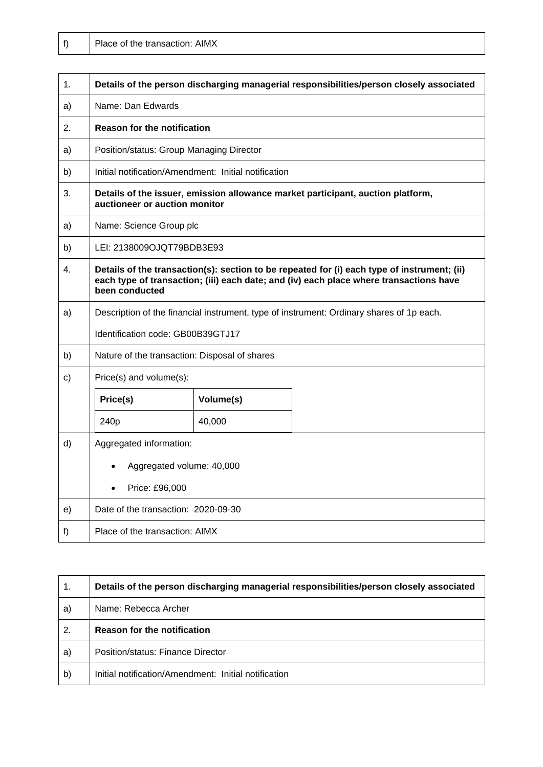| 1.           | Details of the person discharging managerial responsibilities/person closely associated                                                                                                                 |           |                                                                                 |
|--------------|---------------------------------------------------------------------------------------------------------------------------------------------------------------------------------------------------------|-----------|---------------------------------------------------------------------------------|
| a)           | Name: Dan Edwards                                                                                                                                                                                       |           |                                                                                 |
| 2.           | <b>Reason for the notification</b>                                                                                                                                                                      |           |                                                                                 |
| a)           | Position/status: Group Managing Director                                                                                                                                                                |           |                                                                                 |
| b)           | Initial notification/Amendment: Initial notification                                                                                                                                                    |           |                                                                                 |
| 3.           | auctioneer or auction monitor                                                                                                                                                                           |           | Details of the issuer, emission allowance market participant, auction platform, |
| a)           | Name: Science Group plc                                                                                                                                                                                 |           |                                                                                 |
| b)           | LEI: 2138009OJQT79BDB3E93                                                                                                                                                                               |           |                                                                                 |
| $4_{-}$      | Details of the transaction(s): section to be repeated for (i) each type of instrument; (ii)<br>each type of transaction; (iii) each date; and (iv) each place where transactions have<br>been conducted |           |                                                                                 |
| a)           | Description of the financial instrument, type of instrument: Ordinary shares of 1p each.                                                                                                                |           |                                                                                 |
|              | Identification code: GB00B39GTJ17                                                                                                                                                                       |           |                                                                                 |
| b)           | Nature of the transaction: Disposal of shares                                                                                                                                                           |           |                                                                                 |
| $\mathsf{c}$ | Price(s) and volume(s):                                                                                                                                                                                 |           |                                                                                 |
|              | Price(s)                                                                                                                                                                                                | Volume(s) |                                                                                 |
|              | 240p                                                                                                                                                                                                    | 40,000    |                                                                                 |
| d)           | Aggregated information:                                                                                                                                                                                 |           |                                                                                 |
|              | Aggregated volume: 40,000                                                                                                                                                                               |           |                                                                                 |
|              | Price: £96,000                                                                                                                                                                                          |           |                                                                                 |
| e)           | Date of the transaction: 2020-09-30                                                                                                                                                                     |           |                                                                                 |
| f)           | Place of the transaction: AIMX                                                                                                                                                                          |           |                                                                                 |

| 1. | Details of the person discharging managerial responsibilities/person closely associated |
|----|-----------------------------------------------------------------------------------------|
| a) | Name: Rebecca Archer                                                                    |
| 2. | <b>Reason for the notification</b>                                                      |
| a) | Position/status: Finance Director                                                       |
| b) | Initial notification/Amendment: Initial notification                                    |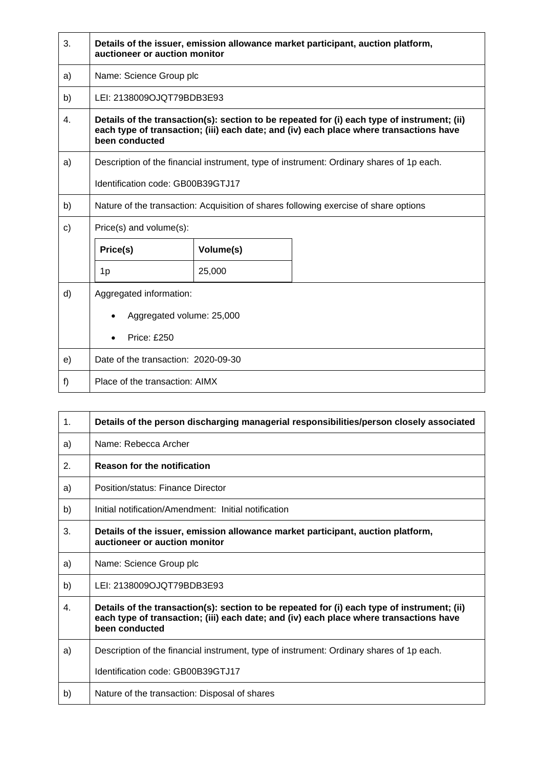| 3.           | Details of the issuer, emission allowance market participant, auction platform,<br>auctioneer or auction monitor                                                                                        |           |                                                                                          |
|--------------|---------------------------------------------------------------------------------------------------------------------------------------------------------------------------------------------------------|-----------|------------------------------------------------------------------------------------------|
| a)           | Name: Science Group plc                                                                                                                                                                                 |           |                                                                                          |
| b)           | LEI: 2138009OJQT79BDB3E93                                                                                                                                                                               |           |                                                                                          |
| 4.           | Details of the transaction(s): section to be repeated for (i) each type of instrument; (ii)<br>each type of transaction; (iii) each date; and (iv) each place where transactions have<br>been conducted |           |                                                                                          |
| a)           |                                                                                                                                                                                                         |           | Description of the financial instrument, type of instrument: Ordinary shares of 1p each. |
|              | Identification code: GB00B39GTJ17                                                                                                                                                                       |           |                                                                                          |
| b)           |                                                                                                                                                                                                         |           | Nature of the transaction: Acquisition of shares following exercise of share options     |
| $\mathsf{C}$ | Price(s) and volume(s):                                                                                                                                                                                 |           |                                                                                          |
|              | Price(s)                                                                                                                                                                                                | Volume(s) |                                                                                          |
|              | 1p                                                                                                                                                                                                      | 25,000    |                                                                                          |
| d)           | Aggregated information:                                                                                                                                                                                 |           |                                                                                          |
|              | Aggregated volume: 25,000                                                                                                                                                                               |           |                                                                                          |
|              | <b>Price: £250</b>                                                                                                                                                                                      |           |                                                                                          |
| e)           | Date of the transaction: 2020-09-30                                                                                                                                                                     |           |                                                                                          |
| f)           | Place of the transaction: AIMX                                                                                                                                                                          |           |                                                                                          |

| $\mathbf{1}$ . | Details of the person discharging managerial responsibilities/person closely associated                                                                                                                 |
|----------------|---------------------------------------------------------------------------------------------------------------------------------------------------------------------------------------------------------|
| a)             | Name: Rebecca Archer                                                                                                                                                                                    |
| 2.             | <b>Reason for the notification</b>                                                                                                                                                                      |
| a)             | Position/status: Finance Director                                                                                                                                                                       |
| b)             | Initial notification/Amendment: Initial notification                                                                                                                                                    |
| 3.             | Details of the issuer, emission allowance market participant, auction platform,<br>auctioneer or auction monitor                                                                                        |
| a)             | Name: Science Group plc                                                                                                                                                                                 |
| b)             | LEI: 2138009OJOT79BDB3E93                                                                                                                                                                               |
| 4.             | Details of the transaction(s): section to be repeated for (i) each type of instrument; (ii)<br>each type of transaction; (iii) each date; and (iv) each place where transactions have<br>been conducted |
| a)             | Description of the financial instrument, type of instrument: Ordinary shares of 1p each.                                                                                                                |
|                | Identification code: GB00B39GTJ17                                                                                                                                                                       |
| b)             | Nature of the transaction: Disposal of shares                                                                                                                                                           |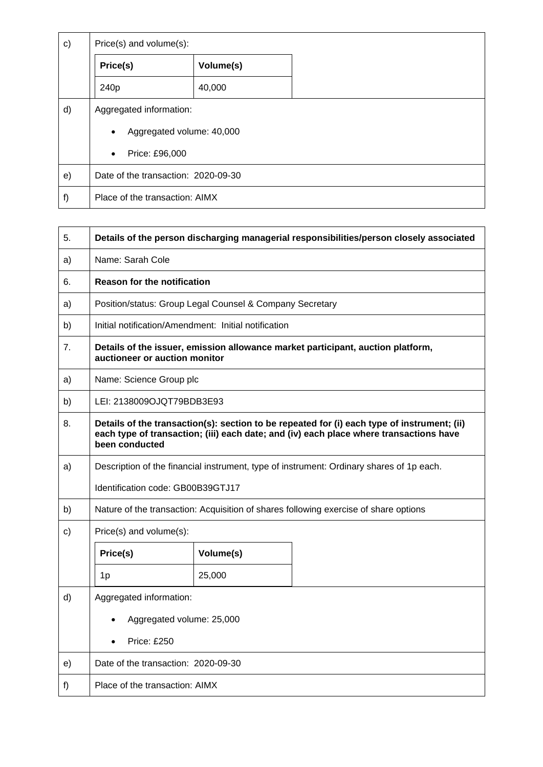| $\mathbf{c}$ | Price(s) and volume(s):                |           |  |
|--------------|----------------------------------------|-----------|--|
|              | Price(s)                               | Volume(s) |  |
|              | 240 <sub>p</sub>                       | 40,000    |  |
| d)           | Aggregated information:                |           |  |
|              | Aggregated volume: 40,000<br>$\bullet$ |           |  |
|              | Price: £96,000<br>$\bullet$            |           |  |
| e)           | Date of the transaction: 2020-09-30    |           |  |
| f)           | Place of the transaction: AIMX         |           |  |

Ē

| 5.             | Details of the person discharging managerial responsibilities/person closely associated                                                                                                                 |           |                                                                                      |
|----------------|---------------------------------------------------------------------------------------------------------------------------------------------------------------------------------------------------------|-----------|--------------------------------------------------------------------------------------|
| a)             | Name: Sarah Cole                                                                                                                                                                                        |           |                                                                                      |
| 6.             | <b>Reason for the notification</b>                                                                                                                                                                      |           |                                                                                      |
| a)             | Position/status: Group Legal Counsel & Company Secretary                                                                                                                                                |           |                                                                                      |
| b)             | Initial notification/Amendment: Initial notification                                                                                                                                                    |           |                                                                                      |
| 7 <sub>1</sub> | auctioneer or auction monitor                                                                                                                                                                           |           | Details of the issuer, emission allowance market participant, auction platform,      |
| a)             | Name: Science Group plc                                                                                                                                                                                 |           |                                                                                      |
| b)             | LEI: 2138009OJQT79BDB3E93                                                                                                                                                                               |           |                                                                                      |
| 8.             | Details of the transaction(s): section to be repeated for (i) each type of instrument; (ii)<br>each type of transaction; (iii) each date; and (iv) each place where transactions have<br>been conducted |           |                                                                                      |
| a)             | Description of the financial instrument, type of instrument: Ordinary shares of 1p each.                                                                                                                |           |                                                                                      |
|                | Identification code: GB00B39GTJ17                                                                                                                                                                       |           |                                                                                      |
| b)             |                                                                                                                                                                                                         |           | Nature of the transaction: Acquisition of shares following exercise of share options |
| $\mathbf{c})$  | Price(s) and volume(s):                                                                                                                                                                                 |           |                                                                                      |
|                | Price(s)                                                                                                                                                                                                | Volume(s) |                                                                                      |
|                | 1 <sub>p</sub>                                                                                                                                                                                          | 25,000    |                                                                                      |
| d)             | Aggregated information:                                                                                                                                                                                 |           |                                                                                      |
|                | Aggregated volume: 25,000                                                                                                                                                                               |           |                                                                                      |
|                | <b>Price: £250</b>                                                                                                                                                                                      |           |                                                                                      |
| e)             | Date of the transaction: 2020-09-30                                                                                                                                                                     |           |                                                                                      |
| f)             | Place of the transaction: AIMX                                                                                                                                                                          |           |                                                                                      |